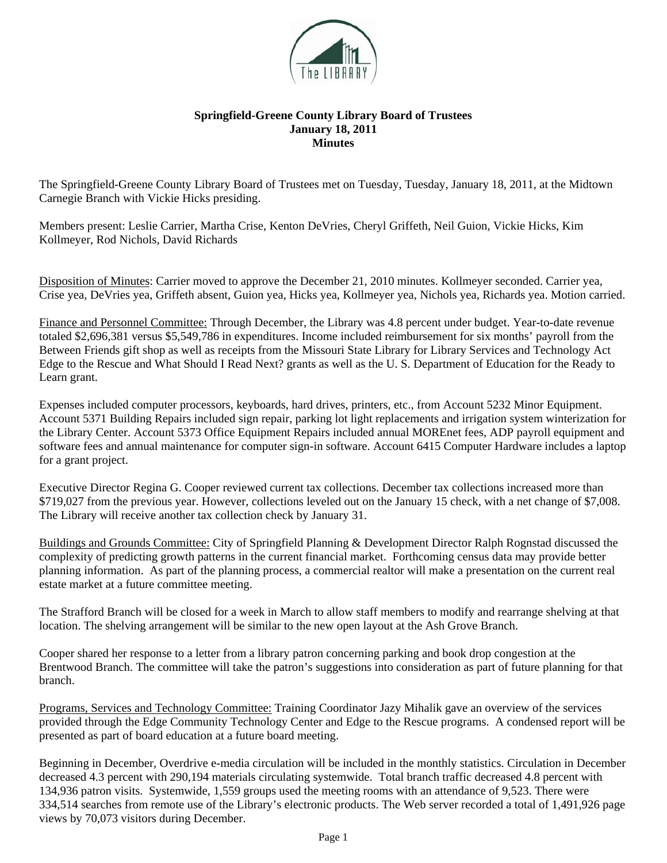

## **Springfield-Greene County Library Board of Trustees January 18, 2011 Minutes**

The Springfield-Greene County Library Board of Trustees met on Tuesday, Tuesday, January 18, 2011, at the Midtown Carnegie Branch with Vickie Hicks presiding.

Members present: Leslie Carrier, Martha Crise, Kenton DeVries, Cheryl Griffeth, Neil Guion, Vickie Hicks, Kim Kollmeyer, Rod Nichols, David Richards

Disposition of Minutes: Carrier moved to approve the December 21, 2010 minutes. Kollmeyer seconded. Carrier yea, Crise yea, DeVries yea, Griffeth absent, Guion yea, Hicks yea, Kollmeyer yea, Nichols yea, Richards yea. Motion carried.

Finance and Personnel Committee: Through December, the Library was 4.8 percent under budget. Year-to-date revenue totaled \$2,696,381 versus \$5,549,786 in expenditures. Income included reimbursement for six months' payroll from the Between Friends gift shop as well as receipts from the Missouri State Library for Library Services and Technology Act Edge to the Rescue and What Should I Read Next? grants as well as the U. S. Department of Education for the Ready to Learn grant.

Expenses included computer processors, keyboards, hard drives, printers, etc., from Account 5232 Minor Equipment. Account 5371 Building Repairs included sign repair, parking lot light replacements and irrigation system winterization for the Library Center. Account 5373 Office Equipment Repairs included annual MOREnet fees, ADP payroll equipment and software fees and annual maintenance for computer sign-in software. Account 6415 Computer Hardware includes a laptop for a grant project.

Executive Director Regina G. Cooper reviewed current tax collections. December tax collections increased more than \$719,027 from the previous year. However, collections leveled out on the January 15 check, with a net change of \$7,008. The Library will receive another tax collection check by January 31.

Buildings and Grounds Committee: City of Springfield Planning & Development Director Ralph Rognstad discussed the complexity of predicting growth patterns in the current financial market. Forthcoming census data may provide better planning information. As part of the planning process, a commercial realtor will make a presentation on the current real estate market at a future committee meeting.

The Strafford Branch will be closed for a week in March to allow staff members to modify and rearrange shelving at that location. The shelving arrangement will be similar to the new open layout at the Ash Grove Branch.

Cooper shared her response to a letter from a library patron concerning parking and book drop congestion at the Brentwood Branch. The committee will take the patron's suggestions into consideration as part of future planning for that branch.

Programs, Services and Technology Committee: Training Coordinator Jazy Mihalik gave an overview of the services provided through the Edge Community Technology Center and Edge to the Rescue programs. A condensed report will be presented as part of board education at a future board meeting.

Beginning in December, Overdrive e-media circulation will be included in the monthly statistics. Circulation in December decreased 4.3 percent with 290,194 materials circulating systemwide. Total branch traffic decreased 4.8 percent with 134,936 patron visits. Systemwide, 1,559 groups used the meeting rooms with an attendance of 9,523. There were 334,514 searches from remote use of the Library's electronic products. The Web server recorded a total of 1,491,926 page views by 70,073 visitors during December.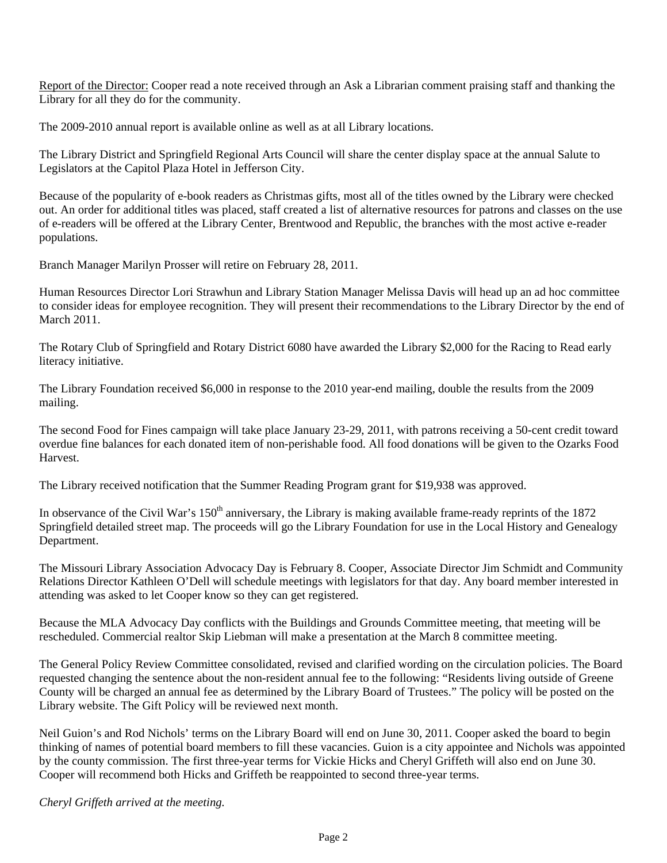Report of the Director: Cooper read a note received through an Ask a Librarian comment praising staff and thanking the Library for all they do for the community.

The 2009-2010 annual report is available online as well as at all Library locations.

The Library District and Springfield Regional Arts Council will share the center display space at the annual Salute to Legislators at the Capitol Plaza Hotel in Jefferson City.

Because of the popularity of e-book readers as Christmas gifts, most all of the titles owned by the Library were checked out. An order for additional titles was placed, staff created a list of alternative resources for patrons and classes on the use of e-readers will be offered at the Library Center, Brentwood and Republic, the branches with the most active e-reader populations.

Branch Manager Marilyn Prosser will retire on February 28, 2011.

Human Resources Director Lori Strawhun and Library Station Manager Melissa Davis will head up an ad hoc committee to consider ideas for employee recognition. They will present their recommendations to the Library Director by the end of March 2011.

The Rotary Club of Springfield and Rotary District 6080 have awarded the Library \$2,000 for the Racing to Read early literacy initiative.

The Library Foundation received \$6,000 in response to the 2010 year-end mailing, double the results from the 2009 mailing.

The second Food for Fines campaign will take place January 23-29, 2011, with patrons receiving a 50-cent credit toward overdue fine balances for each donated item of non-perishable food. All food donations will be given to the Ozarks Food Harvest.

The Library received notification that the Summer Reading Program grant for \$19,938 was approved.

In observance of the Civil War's 150<sup>th</sup> anniversary, the Library is making available frame-ready reprints of the 1872 Springfield detailed street map. The proceeds will go the Library Foundation for use in the Local History and Genealogy Department.

The Missouri Library Association Advocacy Day is February 8. Cooper, Associate Director Jim Schmidt and Community Relations Director Kathleen O'Dell will schedule meetings with legislators for that day. Any board member interested in attending was asked to let Cooper know so they can get registered.

Because the MLA Advocacy Day conflicts with the Buildings and Grounds Committee meeting, that meeting will be rescheduled. Commercial realtor Skip Liebman will make a presentation at the March 8 committee meeting.

The General Policy Review Committee consolidated, revised and clarified wording on the circulation policies. The Board requested changing the sentence about the non-resident annual fee to the following: "Residents living outside of Greene County will be charged an annual fee as determined by the Library Board of Trustees." The policy will be posted on the Library website. The Gift Policy will be reviewed next month.

Neil Guion's and Rod Nichols' terms on the Library Board will end on June 30, 2011. Cooper asked the board to begin thinking of names of potential board members to fill these vacancies. Guion is a city appointee and Nichols was appointed by the county commission. The first three-year terms for Vickie Hicks and Cheryl Griffeth will also end on June 30. Cooper will recommend both Hicks and Griffeth be reappointed to second three-year terms.

*Cheryl Griffeth arrived at the meeting.*